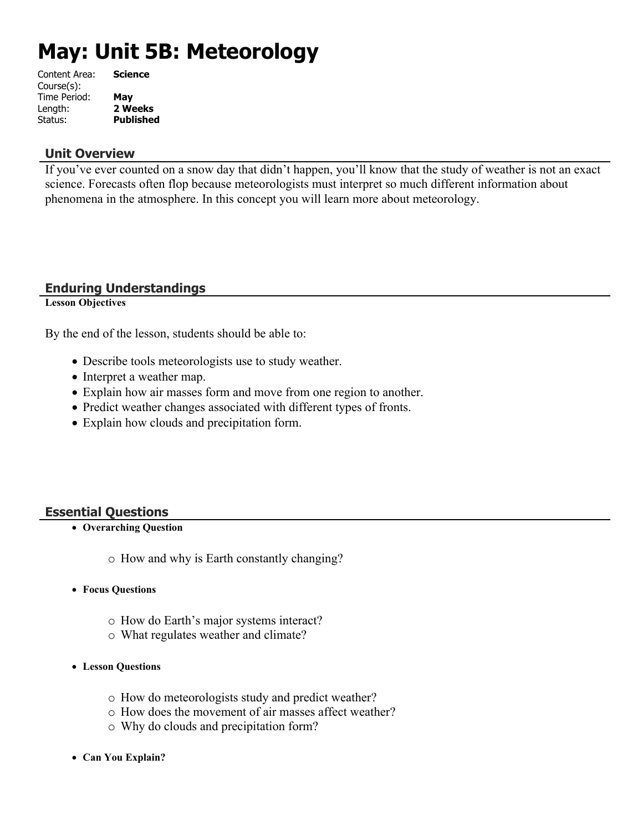# **May: Unit 5B: Meteorology**

| <b>Science</b>   |
|------------------|
|                  |
| May              |
| 2 Weeks          |
| <b>Published</b> |
|                  |

#### **Unit Overview**

If you've ever counted on a snow day that didn't happen, you'll know that the study of weather is not an exact science. Forecasts often flop because meteorologists must interpret so much different information about phenomena in the atmosphere. In this concept you will learn more about meteorology.

## **Enduring Understandings**

**Lesson Objectives**

By the end of the lesson, students should be able to:

- Describe tools meteorologists use to study weather.
- Interpret a weather map.
- Explain how air masses form and move from one region to another.
- Predict weather changes associated with different types of fronts.
- Explain how clouds and precipitation form.

## **Essential Questions**

- **Overarching Question**
	- o How and why is Earth constantly changing?
- **Focus Questions**
	- o How do Earth's major systems interact?
	- o What regulates weather and climate?
- **Lesson Questions**
	- o How do meteorologists study and predict weather?
	- o How does the movement of air masses affect weather?
	- o Why do clouds and precipitation form?
- **Can You Explain?**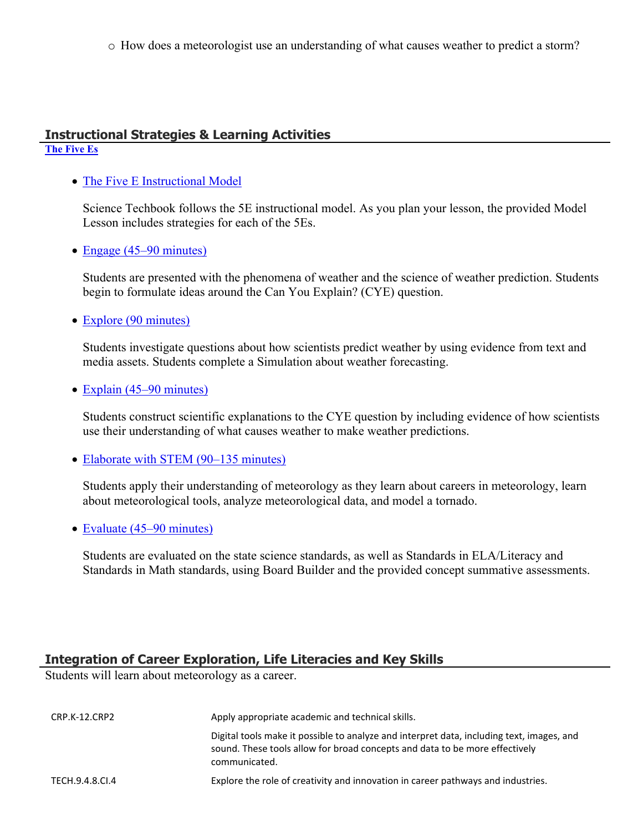o How does a meteorologist use an understanding of what causes weather to predict a storm?

## **Instructional Strategies & Learning Activities**

## **[The Five Es](https://app.discoveryeducation.com/learn/techbook/units/2fa811d9-aafb-44e5-be32-68c440cbb155/concepts/1b752a2e-3e29-452a-8543-ad8ae891b1b9/lesson/sections/8c1e7412-c5c9-462e-83cc-b48e95a063ce)**

## • [The Five E Instructional Model](https://app.discoveryeducation.com/learn/techbook/units/2fa811d9-aafb-44e5-be32-68c440cbb155/concepts/1b752a2e-3e29-452a-8543-ad8ae891b1b9/lesson/sections/8c1e7412-c5c9-462e-83cc-b48e95a063ce#ce340f72-b0e1-4cdc-aa1a-9d3d1581d046)

Science Techbook follows the 5E instructional model. As you plan your lesson, the provided Model Lesson includes strategies for each of the 5Es.

• [Engage \(45–90 minutes\)](https://app.discoveryeducation.com/learn/techbook/units/2fa811d9-aafb-44e5-be32-68c440cbb155/concepts/1b752a2e-3e29-452a-8543-ad8ae891b1b9/lesson/sections/8c1e7412-c5c9-462e-83cc-b48e95a063ce#9f0eccf9-e894-4ea4-9367-33cce95584e9)

Students are presented with the phenomena of weather and the science of weather prediction. Students begin to formulate ideas around the Can You Explain? (CYE) question.

• [Explore \(90 minutes\)](https://app.discoveryeducation.com/learn/techbook/units/2fa811d9-aafb-44e5-be32-68c440cbb155/concepts/1b752a2e-3e29-452a-8543-ad8ae891b1b9/lesson/sections/8c1e7412-c5c9-462e-83cc-b48e95a063ce#ae6d1258-c4f4-40cb-8415-f4718a353bbf)

Students investigate questions about how scientists predict weather by using evidence from text and media assets. Students complete a Simulation about weather forecasting.

#### • [Explain \(45–90 minutes\)](https://app.discoveryeducation.com/learn/techbook/units/2fa811d9-aafb-44e5-be32-68c440cbb155/concepts/1b752a2e-3e29-452a-8543-ad8ae891b1b9/lesson/sections/8c1e7412-c5c9-462e-83cc-b48e95a063ce#63180910-c689-4ec9-936c-8de78d4420de)

Students construct scientific explanations to the CYE question by including evidence of how scientists use their understanding of what causes weather to make weather predictions.

• [Elaborate with STEM \(90–135 minutes\)](https://app.discoveryeducation.com/learn/techbook/units/2fa811d9-aafb-44e5-be32-68c440cbb155/concepts/1b752a2e-3e29-452a-8543-ad8ae891b1b9/lesson/sections/8c1e7412-c5c9-462e-83cc-b48e95a063ce#f6c60608-1a3e-4cf7-9689-3a3e2f422f72)

Students apply their understanding of meteorology as they learn about careers in meteorology, learn about meteorological tools, analyze meteorological data, and model a tornado.

• [Evaluate \(45–90 minutes\)](https://app.discoveryeducation.com/learn/techbook/units/2fa811d9-aafb-44e5-be32-68c440cbb155/concepts/1b752a2e-3e29-452a-8543-ad8ae891b1b9/lesson/sections/8c1e7412-c5c9-462e-83cc-b48e95a063ce#71ee227d-b68c-4535-a17b-570a2dfbc878)

Students are evaluated on the state science standards, as well as Standards in ELA/Literacy and Standards in Math standards, using Board Builder and the provided concept summative assessments.

## **Integration of Career Exploration, Life Literacies and Key Skills**

Students will learn about meteorology as a career.

| CRP.K-12.CRP2   | Apply appropriate academic and technical skills.                                                                                                                                          |
|-----------------|-------------------------------------------------------------------------------------------------------------------------------------------------------------------------------------------|
|                 | Digital tools make it possible to analyze and interpret data, including text, images, and<br>sound. These tools allow for broad concepts and data to be more effectively<br>communicated. |
| TECH.9.4.8.CI.4 | Explore the role of creativity and innovation in career pathways and industries.                                                                                                          |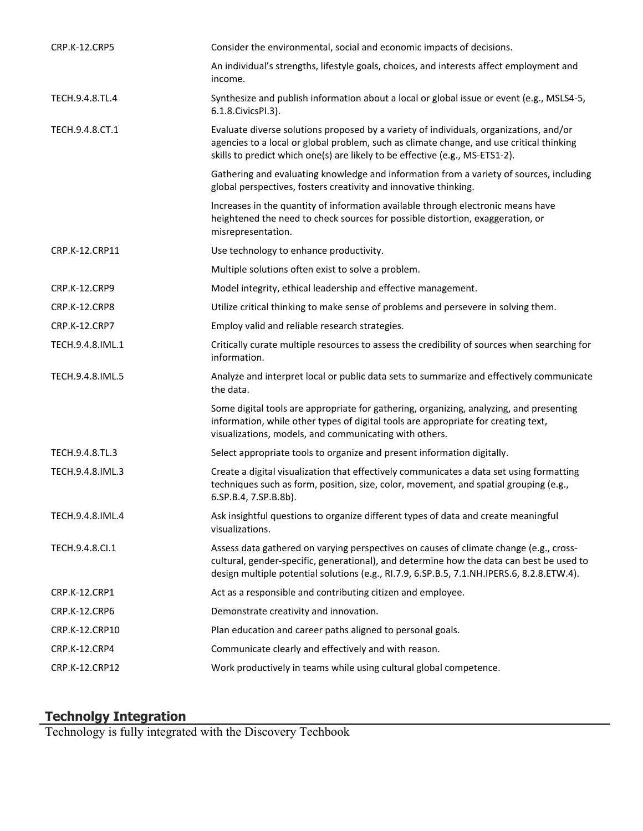| <b>CRP.K-12.CRP5</b> | Consider the environmental, social and economic impacts of decisions.                                                                                                                                                                                                            |
|----------------------|----------------------------------------------------------------------------------------------------------------------------------------------------------------------------------------------------------------------------------------------------------------------------------|
|                      | An individual's strengths, lifestyle goals, choices, and interests affect employment and<br>income.                                                                                                                                                                              |
| TECH.9.4.8.TL.4      | Synthesize and publish information about a local or global issue or event (e.g., MSLS4-5,<br>6.1.8. Civics PI.3).                                                                                                                                                                |
| TECH.9.4.8.CT.1      | Evaluate diverse solutions proposed by a variety of individuals, organizations, and/or<br>agencies to a local or global problem, such as climate change, and use critical thinking<br>skills to predict which one(s) are likely to be effective (e.g., MS-ETS1-2).               |
|                      | Gathering and evaluating knowledge and information from a variety of sources, including<br>global perspectives, fosters creativity and innovative thinking.                                                                                                                      |
|                      | Increases in the quantity of information available through electronic means have<br>heightened the need to check sources for possible distortion, exaggeration, or<br>misrepresentation.                                                                                         |
| CRP.K-12.CRP11       | Use technology to enhance productivity.                                                                                                                                                                                                                                          |
|                      | Multiple solutions often exist to solve a problem.                                                                                                                                                                                                                               |
| <b>CRP.K-12.CRP9</b> | Model integrity, ethical leadership and effective management.                                                                                                                                                                                                                    |
| CRP.K-12.CRP8        | Utilize critical thinking to make sense of problems and persevere in solving them.                                                                                                                                                                                               |
| <b>CRP.K-12.CRP7</b> | Employ valid and reliable research strategies.                                                                                                                                                                                                                                   |
| TECH.9.4.8.IML.1     | Critically curate multiple resources to assess the credibility of sources when searching for<br>information.                                                                                                                                                                     |
| TECH.9.4.8.IML.5     | Analyze and interpret local or public data sets to summarize and effectively communicate<br>the data.                                                                                                                                                                            |
|                      | Some digital tools are appropriate for gathering, organizing, analyzing, and presenting<br>information, while other types of digital tools are appropriate for creating text,<br>visualizations, models, and communicating with others.                                          |
| TECH.9.4.8.TL.3      | Select appropriate tools to organize and present information digitally.                                                                                                                                                                                                          |
| TECH.9.4.8.IML.3     | Create a digital visualization that effectively communicates a data set using formatting<br>techniques such as form, position, size, color, movement, and spatial grouping (e.g.,<br>6.SP.B.4, 7.SP.B.8b).                                                                       |
| TECH.9.4.8.IML.4     | Ask insightful questions to organize different types of data and create meaningful<br>visualizations.                                                                                                                                                                            |
| TECH.9.4.8.Cl.1      | Assess data gathered on varying perspectives on causes of climate change (e.g., cross-<br>cultural, gender-specific, generational), and determine how the data can best be used to<br>design multiple potential solutions (e.g., RI.7.9, 6.SP.B.5, 7.1.NH.IPERS.6, 8.2.8.ETW.4). |
| CRP.K-12.CRP1        | Act as a responsible and contributing citizen and employee.                                                                                                                                                                                                                      |
| CRP.K-12.CRP6        | Demonstrate creativity and innovation.                                                                                                                                                                                                                                           |
| CRP.K-12.CRP10       | Plan education and career paths aligned to personal goals.                                                                                                                                                                                                                       |
| CRP.K-12.CRP4        | Communicate clearly and effectively and with reason.                                                                                                                                                                                                                             |
| CRP.K-12.CRP12       | Work productively in teams while using cultural global competence.                                                                                                                                                                                                               |

#### **Technolgy Integration**

Technology is fully integrated with the Discovery Techbook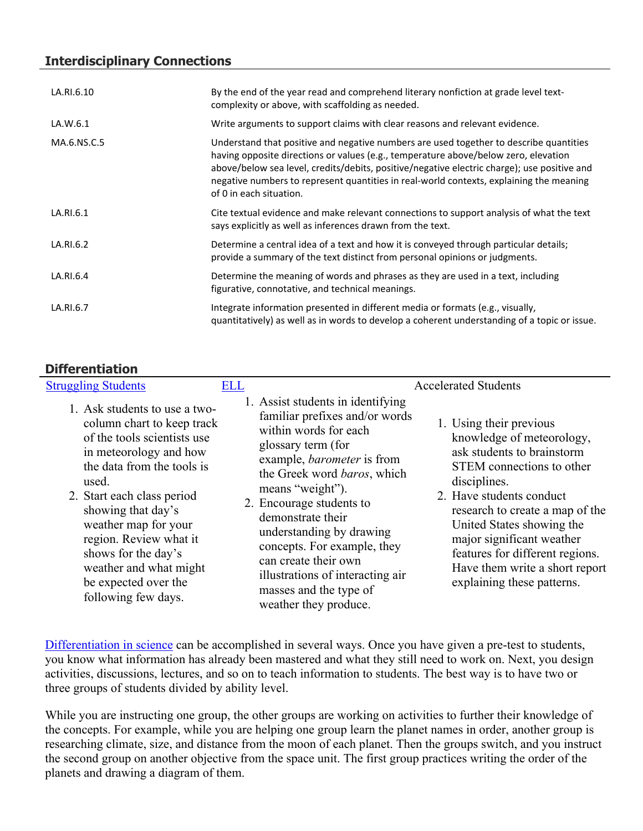## **Interdisciplinary Connections**

| LA.RI.6.10  | By the end of the year read and comprehend literary nonfiction at grade level text-<br>complexity or above, with scaffolding as needed.                                                                                                                                                                                                                                                            |
|-------------|----------------------------------------------------------------------------------------------------------------------------------------------------------------------------------------------------------------------------------------------------------------------------------------------------------------------------------------------------------------------------------------------------|
| LA.W.6.1    | Write arguments to support claims with clear reasons and relevant evidence.                                                                                                                                                                                                                                                                                                                        |
| MA.6.NS.C.5 | Understand that positive and negative numbers are used together to describe quantities<br>having opposite directions or values (e.g., temperature above/below zero, elevation<br>above/below sea level, credits/debits, positive/negative electric charge); use positive and<br>negative numbers to represent quantities in real-world contexts, explaining the meaning<br>of 0 in each situation. |
| LA.RI.6.1   | Cite textual evidence and make relevant connections to support analysis of what the text<br>says explicitly as well as inferences drawn from the text.                                                                                                                                                                                                                                             |
| LA.RI.6.2   | Determine a central idea of a text and how it is conveyed through particular details;<br>provide a summary of the text distinct from personal opinions or judgments.                                                                                                                                                                                                                               |
| LA.RI.6.4   | Determine the meaning of words and phrases as they are used in a text, including<br>figurative, connotative, and technical meanings.                                                                                                                                                                                                                                                               |
| LA.RI.6.7   | Integrate information presented in different media or formats (e.g., visually,<br>quantitatively) as well as in words to develop a coherent understanding of a topic or issue.                                                                                                                                                                                                                     |

## **Differentiation**

| <b>Struggling Students</b>                                                                                                                                                                                                                                                                                                                                        | ELL |                                                                                                                                                                                                                                                                                                                                                                                                                                       | <b>Accelerated Students</b>                                                                                                                                                                                                                                                                                                                                 |
|-------------------------------------------------------------------------------------------------------------------------------------------------------------------------------------------------------------------------------------------------------------------------------------------------------------------------------------------------------------------|-----|---------------------------------------------------------------------------------------------------------------------------------------------------------------------------------------------------------------------------------------------------------------------------------------------------------------------------------------------------------------------------------------------------------------------------------------|-------------------------------------------------------------------------------------------------------------------------------------------------------------------------------------------------------------------------------------------------------------------------------------------------------------------------------------------------------------|
| 1. Ask students to use a two-<br>column chart to keep track<br>of the tools scientists use<br>in meteorology and how<br>the data from the tools is<br>used.<br>2. Start each class period<br>showing that day's<br>weather map for your<br>region. Review what it<br>shows for the day's<br>weather and what might<br>be expected over the<br>following few days. |     | 1. Assist students in identifying<br>familiar prefixes and/or words<br>within words for each<br>glossary term (for<br>example, <i>barometer</i> is from<br>the Greek word baros, which<br>means "weight").<br>2. Encourage students to<br>demonstrate their<br>understanding by drawing<br>concepts. For example, they<br>can create their own<br>illustrations of interacting air<br>masses and the type of<br>weather they produce. | 1. Using their previous<br>knowledge of meteorology,<br>ask students to brainstorm<br>STEM connections to other<br>disciplines.<br>2. Have students conduct<br>research to create a map of the<br>United States showing the<br>major significant weather<br>features for different regions.<br>Have them write a short report<br>explaining these patterns. |

[Differentiation in science](http://www.brighthubeducation.com/teaching-gifted-students/65181-differentiation-techniques-and-activities-in-the-classroom-for-gifted-students/) can be accomplished in several ways. Once you have given a pre-test to students, you know what information has already been mastered and what they still need to work on. Next, you design activities, discussions, lectures, and so on to teach information to students. The best way is to have two or three groups of students divided by ability level.

While you are instructing one group, the other groups are working on activities to further their knowledge of the concepts. For example, while you are helping one group learn the planet names in order, another group is researching climate, size, and distance from the moon of each planet. Then the groups switch, and you instruct the second group on another objective from the space unit. The first group practices writing the order of the planets and drawing a diagram of them.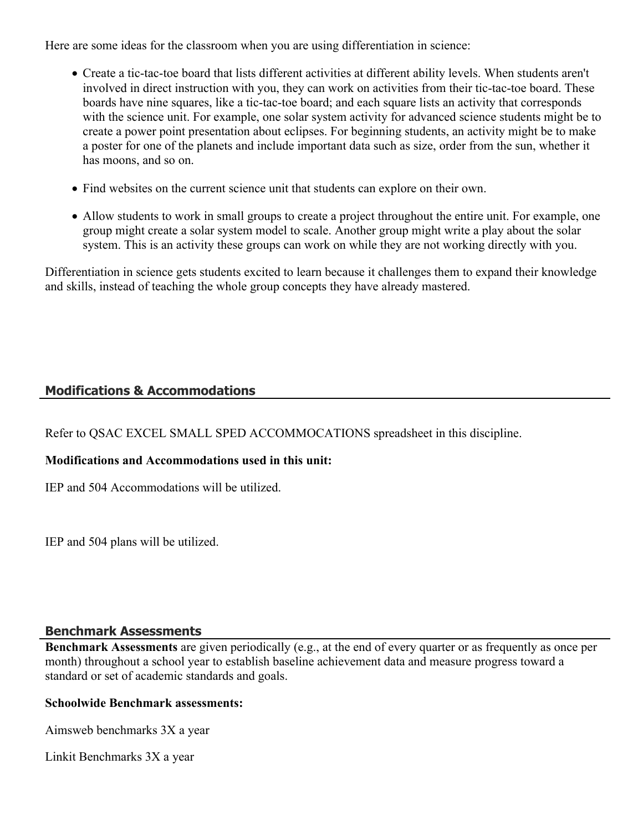Here are some ideas for the classroom when you are using differentiation in science:

- Create a tic-tac-toe board that lists different activities at different ability levels. When students aren't involved in direct instruction with you, they can work on activities from their tic-tac-toe board. These boards have nine squares, like a tic-tac-toe board; and each square lists an activity that corresponds with the science unit. For example, one solar system activity for advanced science students might be to create a power point presentation about eclipses. For beginning students, an activity might be to make a poster for one of the planets and include important data such as size, order from the sun, whether it has moons, and so on.
- Find websites on the current science unit that students can explore on their own.
- Allow students to work in small groups to create a project throughout the entire unit. For example, one group might create a solar system model to scale. Another group might write a play about the solar system. This is an activity these groups can work on while they are not working directly with you.

Differentiation in science gets students excited to learn because it challenges them to expand their knowledge and skills, instead of teaching the whole group concepts they have already mastered.

## **Modifications & Accommodations**

Refer to QSAC EXCEL SMALL SPED ACCOMMOCATIONS spreadsheet in this discipline.

#### **Modifications and Accommodations used in this unit:**

IEP and 504 Accommodations will be utilized.

IEP and 504 plans will be utilized.

#### **Benchmark Assessments**

**Benchmark Assessments** are given periodically (e.g., at the end of every quarter or as frequently as once per month) throughout a school year to establish baseline achievement data and measure progress toward a standard or set of academic standards and goals.

#### **Schoolwide Benchmark assessments:**

Aimsweb benchmarks 3X a year

Linkit Benchmarks 3X a year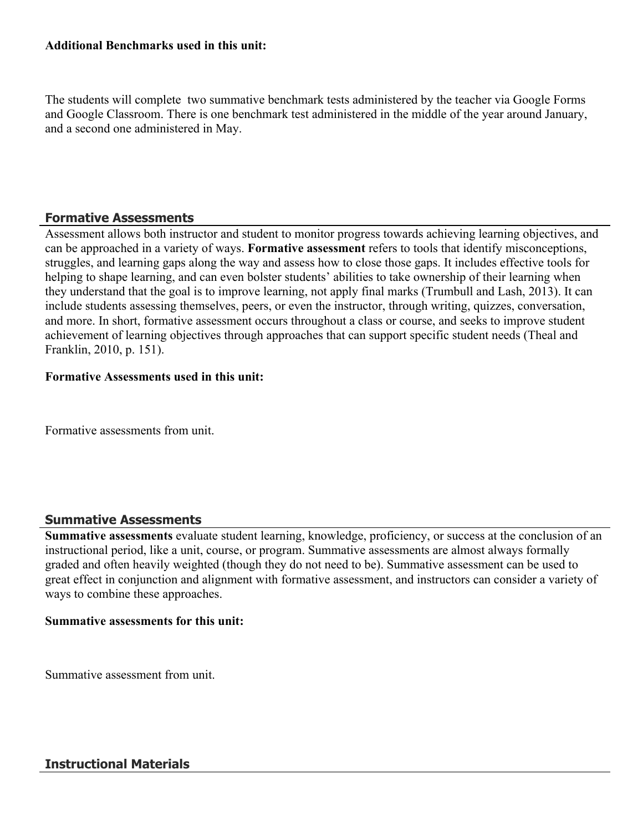#### **Additional Benchmarks used in this unit:**

The students will complete two summative benchmark tests administered by the teacher via Google Forms and Google Classroom. There is one benchmark test administered in the middle of the year around January, and a second one administered in May.

## **Formative Assessments**

Assessment allows both instructor and student to monitor progress towards achieving learning objectives, and can be approached in a variety of ways. **Formative assessment** refers to tools that identify misconceptions, struggles, and learning gaps along the way and assess how to close those gaps. It includes effective tools for helping to shape learning, and can even bolster students' abilities to take ownership of their learning when they understand that the goal is to improve learning, not apply final marks (Trumbull and Lash, 2013). It can include students assessing themselves, peers, or even the instructor, through writing, quizzes, conversation, and more. In short, formative assessment occurs throughout a class or course, and seeks to improve student achievement of learning objectives through approaches that can support specific student needs (Theal and Franklin, 2010, p. 151).

### **Formative Assessments used in this unit:**

Formative assessments from unit.

#### **Summative Assessments**

**Summative assessments** evaluate student learning, knowledge, proficiency, or success at the conclusion of an instructional period, like a unit, course, or program. Summative assessments are almost always formally graded and often heavily weighted (though they do not need to be). Summative assessment can be used to great effect in conjunction and alignment with formative assessment, and instructors can consider a variety of ways to combine these approaches.

#### **Summative assessments for this unit:**

Summative assessment from unit.